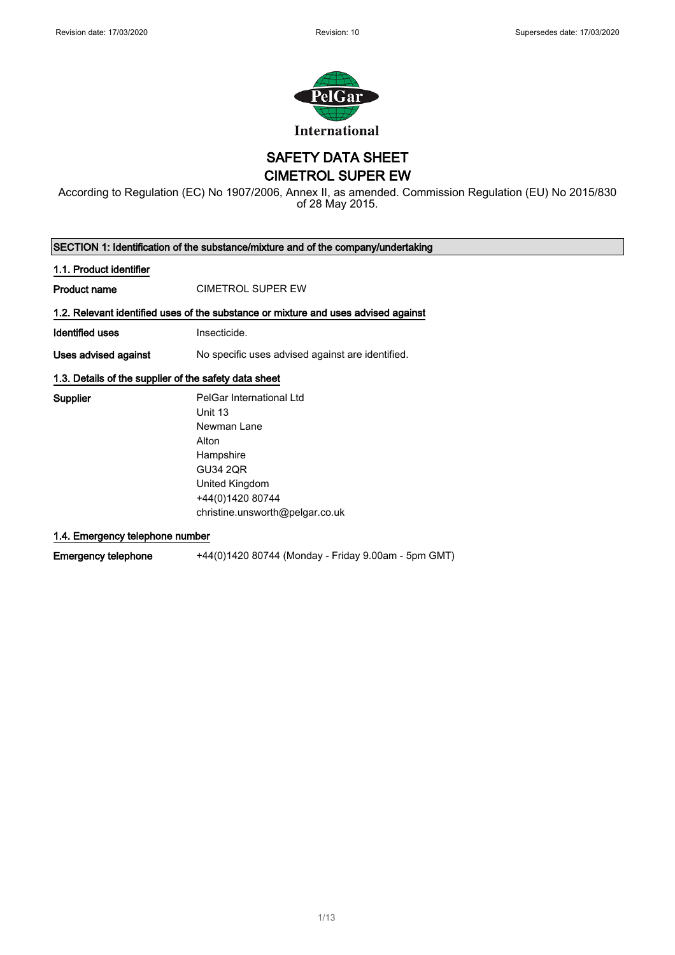

SAFETY DATA SHEET

CIMETROL SUPER EW

According to Regulation (EC) No 1907/2006, Annex II, as amended. Commission Regulation (EU) No 2015/830 of 28 May 2015.

SECTION 1: Identification of the substance/mixture and of the company/undertaking 1.1. Product identifier Product name CIMETROL SUPER EW 1.2. Relevant identified uses of the substance or mixture and uses advised against **Identified uses Insecticide.** Uses advised against No specific uses advised against are identified. 1.3. Details of the supplier of the safety data sheet Supplier **PelGar International Ltd** Unit 13 Newman Lane Alton **Hampshire** 

GU34 2QR United Kingdom +44(0)1420 80744 christine.unsworth@pelgar.co.uk

1.4. Emergency telephone number

Emergency telephone +44(0)1420 80744 (Monday - Friday 9.00am - 5pm GMT)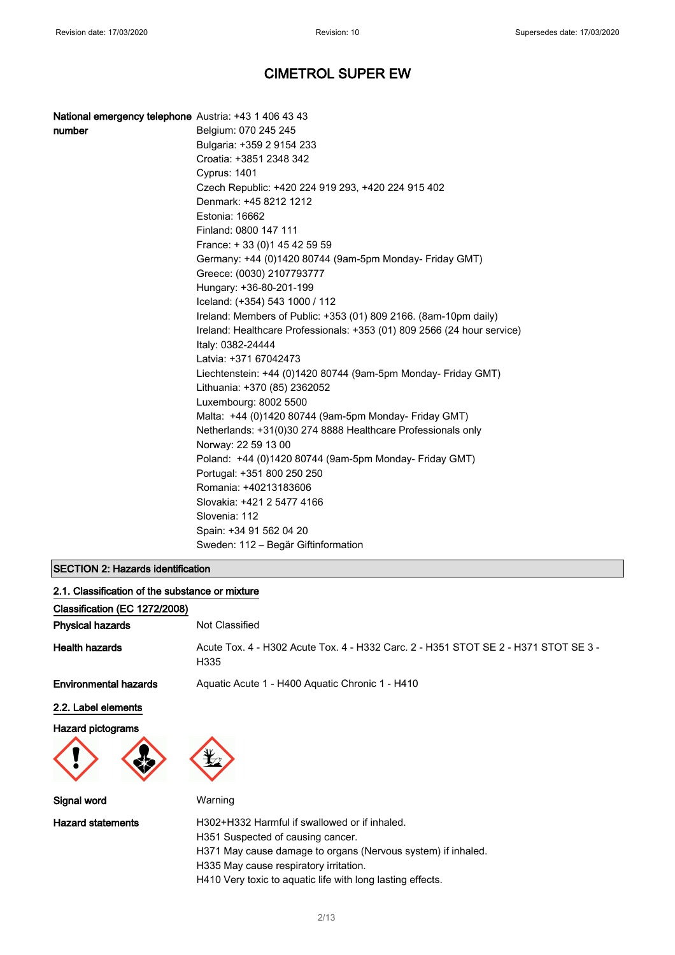| National emergency telephone Austria: +43 1 406 43 43 |                                                                                              |
|-------------------------------------------------------|----------------------------------------------------------------------------------------------|
| number                                                | Belgium: 070 245 245                                                                         |
|                                                       | Bulgaria: +359 2 9154 233                                                                    |
|                                                       | Croatia: +3851 2348 342                                                                      |
|                                                       | <b>Cyprus: 1401</b>                                                                          |
|                                                       | Czech Republic: +420 224 919 293, +420 224 915 402                                           |
|                                                       | Denmark: +45 8212 1212                                                                       |
|                                                       | Estonia: 16662                                                                               |
|                                                       | Finland: 0800 147 111                                                                        |
|                                                       | France: +33 (0) 145 42 59 59                                                                 |
|                                                       | Germany: +44 (0)1420 80744 (9am-5pm Monday- Friday GMT)                                      |
|                                                       | Greece: (0030) 2107793777                                                                    |
|                                                       | Hungary: +36-80-201-199                                                                      |
|                                                       | Iceland: (+354) 543 1000 / 112                                                               |
|                                                       | Ireland: Members of Public: +353 (01) 809 2166. (8am-10pm daily)                             |
|                                                       | Ireland: Healthcare Professionals: +353 (01) 809 2566 (24 hour service)<br>Italy: 0382-24444 |
|                                                       | Latvia: +371 67042473                                                                        |
|                                                       | Liechtenstein: +44 (0)1420 80744 (9am-5pm Monday- Friday GMT)                                |
|                                                       | Lithuania: +370 (85) 2362052                                                                 |
|                                                       | Luxembourg: 8002 5500                                                                        |
|                                                       | Malta: +44 (0)1420 80744 (9am-5pm Monday- Friday GMT)                                        |
|                                                       | Netherlands: +31(0)30 274 8888 Healthcare Professionals only                                 |
|                                                       | Norway: 22 59 13 00                                                                          |
|                                                       | Poland: +44 (0)1420 80744 (9am-5pm Monday- Friday GMT)                                       |
|                                                       | Portugal: +351 800 250 250                                                                   |
|                                                       | Romania: +40213183606                                                                        |
|                                                       | Slovakia: +421 2 5477 4166                                                                   |
|                                                       | Slovenia: 112                                                                                |
|                                                       | Spain: +34 91 562 04 20                                                                      |
|                                                       | Sweden: 112 – Begär Giftinformation                                                          |

## SECTION 2: Hazards identification

| 2.1. Classification of the substance or mixture |                                                                                             |
|-------------------------------------------------|---------------------------------------------------------------------------------------------|
| Classification (EC 1272/2008)                   |                                                                                             |
| <b>Physical hazards</b>                         | Not Classified                                                                              |
| <b>Health hazards</b>                           | Acute Tox. 4 - H302 Acute Tox. 4 - H332 Carc. 2 - H351 STOT SE 2 - H371 STOT SE 3 -<br>H335 |
| <b>Environmental hazards</b>                    | Aquatic Acute 1 - H400 Aquatic Chronic 1 - H410                                             |
| 2.2. Label elements                             |                                                                                             |
| <b>Hazard pictograms</b>                        |                                                                                             |
|                                                 |                                                                                             |
| Signal word                                     | Warning                                                                                     |
| <b>Hazard statements</b>                        | H302+H332 Harmful if swallowed or if inhaled.                                               |
|                                                 | H351 Suspected of causing cancer.                                                           |
|                                                 | H371 May cause damage to organs (Nervous system) if inhaled.                                |
|                                                 | H335 May cause respiratory irritation.                                                      |

H410 Very toxic to aquatic life with long lasting effects.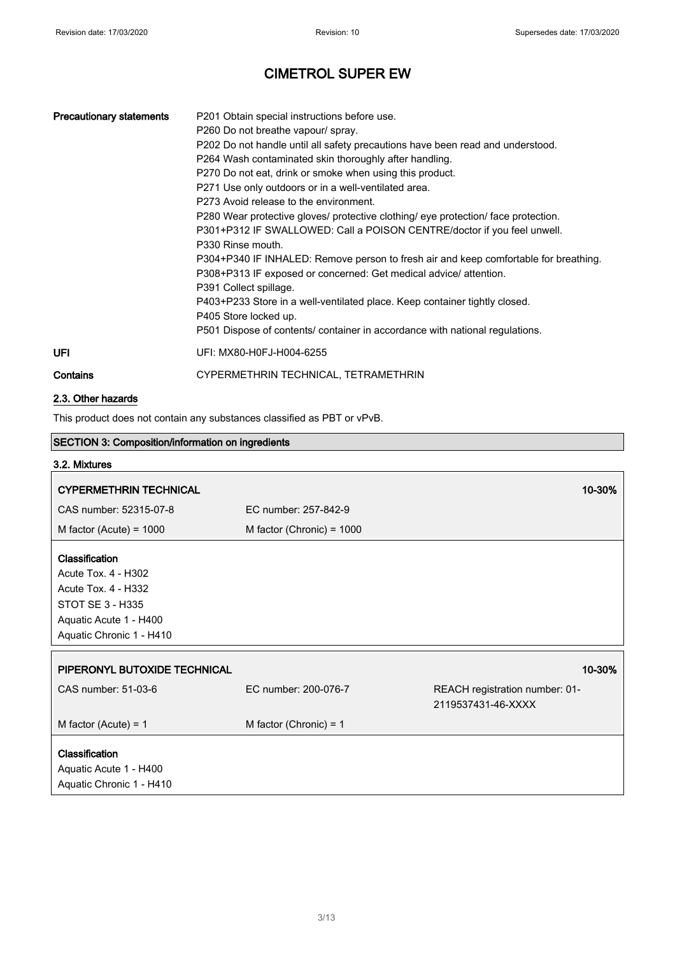| <b>Precautionary statements</b> | P201 Obtain special instructions before use.<br>P260 Do not breathe vapour/ spray.<br>P202 Do not handle until all safety precautions have been read and understood.<br>P264 Wash contaminated skin thoroughly after handling.<br>P270 Do not eat, drink or smoke when using this product.<br>P271 Use only outdoors or in a well-ventilated area.<br>P273 Avoid release to the environment.<br>P280 Wear protective gloves/ protective clothing/ eye protection/ face protection.<br>P301+P312 IF SWALLOWED: Call a POISON CENTRE/doctor if you feel unwell.<br>P330 Rinse mouth.<br>P304+P340 IF INHALED: Remove person to fresh air and keep comfortable for breathing.<br>P308+P313 IF exposed or concerned: Get medical advice/ attention.<br>P391 Collect spillage.<br>P403+P233 Store in a well-ventilated place. Keep container tightly closed.<br>P405 Store locked up.<br>P501 Dispose of contents/ container in accordance with national regulations. |
|---------------------------------|------------------------------------------------------------------------------------------------------------------------------------------------------------------------------------------------------------------------------------------------------------------------------------------------------------------------------------------------------------------------------------------------------------------------------------------------------------------------------------------------------------------------------------------------------------------------------------------------------------------------------------------------------------------------------------------------------------------------------------------------------------------------------------------------------------------------------------------------------------------------------------------------------------------------------------------------------------------|
| UFI                             | UFI: MX80-H0FJ-H004-6255                                                                                                                                                                                                                                                                                                                                                                                                                                                                                                                                                                                                                                                                                                                                                                                                                                                                                                                                         |
| Contains                        | CYPERMETHRIN TECHNICAL, TETRAMETHRIN                                                                                                                                                                                                                                                                                                                                                                                                                                                                                                                                                                                                                                                                                                                                                                                                                                                                                                                             |

### 2.3. Other hazards

This product does not contain any substances classified as PBT or vPvB.

| <b>SECTION 3: Composition/information on ingredients</b>                                                                                      |                             |                                                      |
|-----------------------------------------------------------------------------------------------------------------------------------------------|-----------------------------|------------------------------------------------------|
| 3.2. Mixtures                                                                                                                                 |                             |                                                      |
| <b>CYPERMETHRIN TECHNICAL</b>                                                                                                                 |                             | 10-30%                                               |
| CAS number: 52315-07-8                                                                                                                        | EC number: 257-842-9        |                                                      |
| M factor (Acute) = $1000$                                                                                                                     | M factor (Chronic) = $1000$ |                                                      |
| Classification<br>Acute Tox. 4 - H302<br><b>Acute Tox. 4 - H332</b><br>STOT SE 3 - H335<br>Aquatic Acute 1 - H400<br>Aquatic Chronic 1 - H410 |                             |                                                      |
| PIPERONYL BUTOXIDE TECHNICAL                                                                                                                  |                             | 10-30%                                               |
| CAS number: 51-03-6                                                                                                                           | EC number: 200-076-7        | REACH registration number: 01-<br>2119537431-46-XXXX |
| M factor (Acute) = $1$                                                                                                                        | M factor (Chronic) = $1$    |                                                      |
| Classification<br>Aquatic Acute 1 - H400<br>Aquatic Chronic 1 - H410                                                                          |                             |                                                      |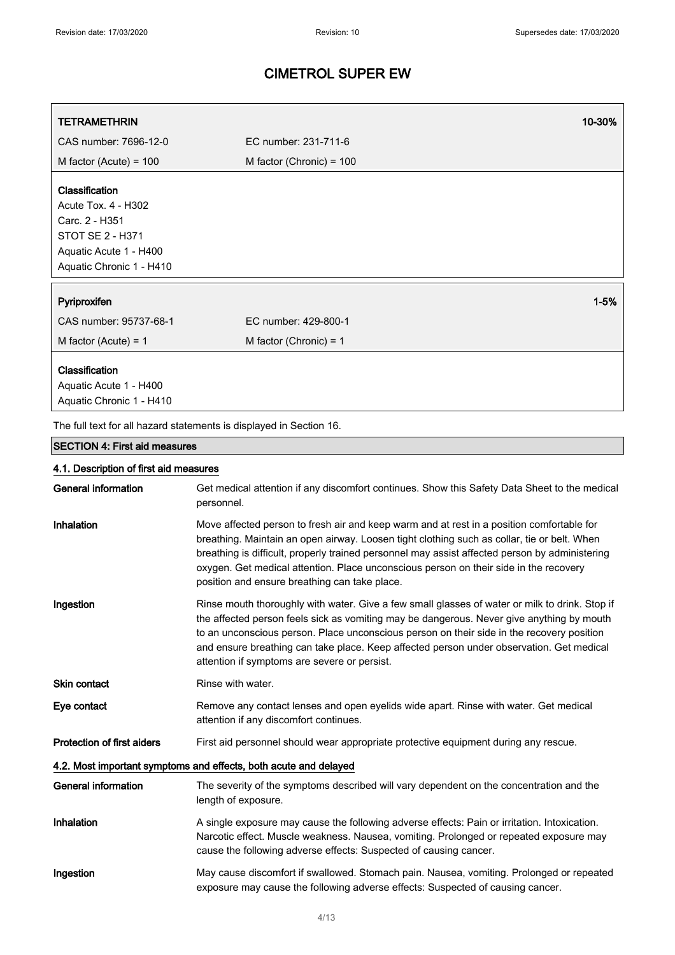| <b>TETRAMETHRIN</b>                                                                                                                             | 10-30%                                                                                                                                                                                                                                                                                                                                                                                                                               |
|-------------------------------------------------------------------------------------------------------------------------------------------------|--------------------------------------------------------------------------------------------------------------------------------------------------------------------------------------------------------------------------------------------------------------------------------------------------------------------------------------------------------------------------------------------------------------------------------------|
| CAS number: 7696-12-0                                                                                                                           | EC number: 231-711-6                                                                                                                                                                                                                                                                                                                                                                                                                 |
| M factor (Acute) = $100$                                                                                                                        | M factor (Chronic) = $100$                                                                                                                                                                                                                                                                                                                                                                                                           |
| Classification<br><b>Acute Tox. 4 - H302</b><br>Carc. 2 - H351<br><b>STOT SE 2 - H371</b><br>Aquatic Acute 1 - H400<br>Aquatic Chronic 1 - H410 |                                                                                                                                                                                                                                                                                                                                                                                                                                      |
| Pyriproxifen                                                                                                                                    | $1 - 5%$                                                                                                                                                                                                                                                                                                                                                                                                                             |
| CAS number: 95737-68-1                                                                                                                          | EC number: 429-800-1                                                                                                                                                                                                                                                                                                                                                                                                                 |
| M factor (Acute) = $1$                                                                                                                          | M factor (Chronic) = $1$                                                                                                                                                                                                                                                                                                                                                                                                             |
| Classification<br>Aquatic Acute 1 - H400<br>Aquatic Chronic 1 - H410                                                                            |                                                                                                                                                                                                                                                                                                                                                                                                                                      |
|                                                                                                                                                 | The full text for all hazard statements is displayed in Section 16.                                                                                                                                                                                                                                                                                                                                                                  |
| <b>SECTION 4: First aid measures</b>                                                                                                            |                                                                                                                                                                                                                                                                                                                                                                                                                                      |
| 4.1. Description of first aid measures                                                                                                          |                                                                                                                                                                                                                                                                                                                                                                                                                                      |
| <b>General information</b>                                                                                                                      | Get medical attention if any discomfort continues. Show this Safety Data Sheet to the medical<br>personnel.                                                                                                                                                                                                                                                                                                                          |
| Inhalation                                                                                                                                      | Move affected person to fresh air and keep warm and at rest in a position comfortable for<br>breathing. Maintain an open airway. Loosen tight clothing such as collar, tie or belt. When<br>breathing is difficult, properly trained personnel may assist affected person by administering<br>oxygen. Get medical attention. Place unconscious person on their side in the recovery<br>position and ensure breathing can take place. |
| Ingestion                                                                                                                                       | Rinse mouth thoroughly with water. Give a few small glasses of water or milk to drink. Stop if<br>the affected person feels sick as vomiting may be dangerous. Never give anything by mouth<br>to an unconscious person. Place unconscious person on their side in the recovery position<br>and ensure breathing can take place. Keep affected person under observation. Get medical<br>attention if symptoms are severe or persist. |
| <b>Skin contact</b>                                                                                                                             | Rinse with water.                                                                                                                                                                                                                                                                                                                                                                                                                    |
| Eye contact                                                                                                                                     | Remove any contact lenses and open eyelids wide apart. Rinse with water. Get medical<br>attention if any discomfort continues.                                                                                                                                                                                                                                                                                                       |
| <b>Protection of first aiders</b>                                                                                                               | First aid personnel should wear appropriate protective equipment during any rescue.                                                                                                                                                                                                                                                                                                                                                  |
|                                                                                                                                                 | 4.2. Most important symptoms and effects, both acute and delayed                                                                                                                                                                                                                                                                                                                                                                     |
| <b>General information</b>                                                                                                                      | The severity of the symptoms described will vary dependent on the concentration and the<br>length of exposure.                                                                                                                                                                                                                                                                                                                       |
| Inhalation                                                                                                                                      | A single exposure may cause the following adverse effects: Pain or irritation. Intoxication.<br>Narcotic effect. Muscle weakness. Nausea, vomiting. Prolonged or repeated exposure may<br>cause the following adverse effects: Suspected of causing cancer.                                                                                                                                                                          |
| Ingestion                                                                                                                                       | May cause discomfort if swallowed. Stomach pain. Nausea, vomiting. Prolonged or repeated<br>exposure may cause the following adverse effects: Suspected of causing cancer.                                                                                                                                                                                                                                                           |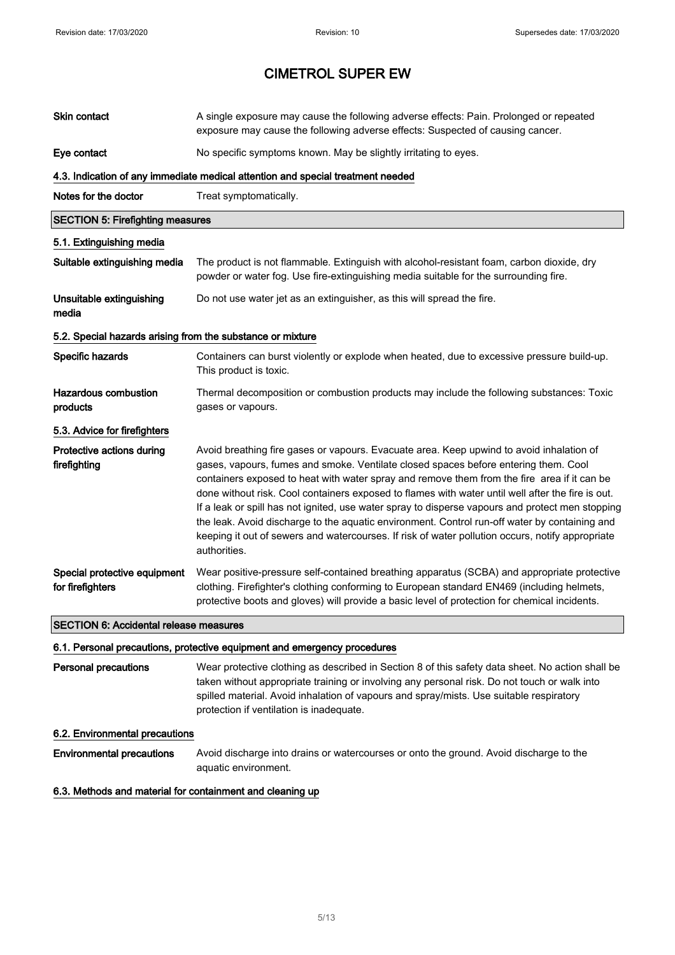| <b>Skin contact</b>                                        | A single exposure may cause the following adverse effects: Pain. Prolonged or repeated<br>exposure may cause the following adverse effects: Suspected of causing cancer.                                                                                                                                                                                                                                                                                                                                                                                                                                                                                                                                     |
|------------------------------------------------------------|--------------------------------------------------------------------------------------------------------------------------------------------------------------------------------------------------------------------------------------------------------------------------------------------------------------------------------------------------------------------------------------------------------------------------------------------------------------------------------------------------------------------------------------------------------------------------------------------------------------------------------------------------------------------------------------------------------------|
| Eye contact                                                | No specific symptoms known. May be slightly irritating to eyes.                                                                                                                                                                                                                                                                                                                                                                                                                                                                                                                                                                                                                                              |
|                                                            | 4.3. Indication of any immediate medical attention and special treatment needed                                                                                                                                                                                                                                                                                                                                                                                                                                                                                                                                                                                                                              |
| Notes for the doctor                                       | Treat symptomatically.                                                                                                                                                                                                                                                                                                                                                                                                                                                                                                                                                                                                                                                                                       |
| <b>SECTION 5: Firefighting measures</b>                    |                                                                                                                                                                                                                                                                                                                                                                                                                                                                                                                                                                                                                                                                                                              |
| 5.1. Extinguishing media                                   |                                                                                                                                                                                                                                                                                                                                                                                                                                                                                                                                                                                                                                                                                                              |
| Suitable extinguishing media                               | The product is not flammable. Extinguish with alcohol-resistant foam, carbon dioxide, dry<br>powder or water fog. Use fire-extinguishing media suitable for the surrounding fire.                                                                                                                                                                                                                                                                                                                                                                                                                                                                                                                            |
| Unsuitable extinguishing<br>media                          | Do not use water jet as an extinguisher, as this will spread the fire.                                                                                                                                                                                                                                                                                                                                                                                                                                                                                                                                                                                                                                       |
| 5.2. Special hazards arising from the substance or mixture |                                                                                                                                                                                                                                                                                                                                                                                                                                                                                                                                                                                                                                                                                                              |
| Specific hazards                                           | Containers can burst violently or explode when heated, due to excessive pressure build-up.<br>This product is toxic.                                                                                                                                                                                                                                                                                                                                                                                                                                                                                                                                                                                         |
| <b>Hazardous combustion</b><br>products                    | Thermal decomposition or combustion products may include the following substances: Toxic<br>gases or vapours.                                                                                                                                                                                                                                                                                                                                                                                                                                                                                                                                                                                                |
| 5.3. Advice for firefighters                               |                                                                                                                                                                                                                                                                                                                                                                                                                                                                                                                                                                                                                                                                                                              |
| Protective actions during<br>firefighting                  | Avoid breathing fire gases or vapours. Evacuate area. Keep upwind to avoid inhalation of<br>gases, vapours, fumes and smoke. Ventilate closed spaces before entering them. Cool<br>containers exposed to heat with water spray and remove them from the fire area if it can be<br>done without risk. Cool containers exposed to flames with water until well after the fire is out.<br>If a leak or spill has not ignited, use water spray to disperse vapours and protect men stopping<br>the leak. Avoid discharge to the aquatic environment. Control run-off water by containing and<br>keeping it out of sewers and watercourses. If risk of water pollution occurs, notify appropriate<br>authorities. |
| Special protective equipment<br>for firefighters           | Wear positive-pressure self-contained breathing apparatus (SCBA) and appropriate protective<br>clothing. Firefighter's clothing conforming to European standard EN469 (including helmets,<br>protective boots and gloves) will provide a basic level of protection for chemical incidents.                                                                                                                                                                                                                                                                                                                                                                                                                   |
| <b>SECTION 6: Accidental release measures</b>              |                                                                                                                                                                                                                                                                                                                                                                                                                                                                                                                                                                                                                                                                                                              |

#### 6.1. Personal precautions, protective equipment and emergency procedures

Personal precautions Wear protective clothing as described in Section 8 of this safety data sheet. No action shall be taken without appropriate training or involving any personal risk. Do not touch or walk into spilled material. Avoid inhalation of vapours and spray/mists. Use suitable respiratory protection if ventilation is inadequate.

### 6.2. Environmental precautions

Environmental precautions Avoid discharge into drains or watercourses or onto the ground. Avoid discharge to the aquatic environment.

### 6.3. Methods and material for containment and cleaning up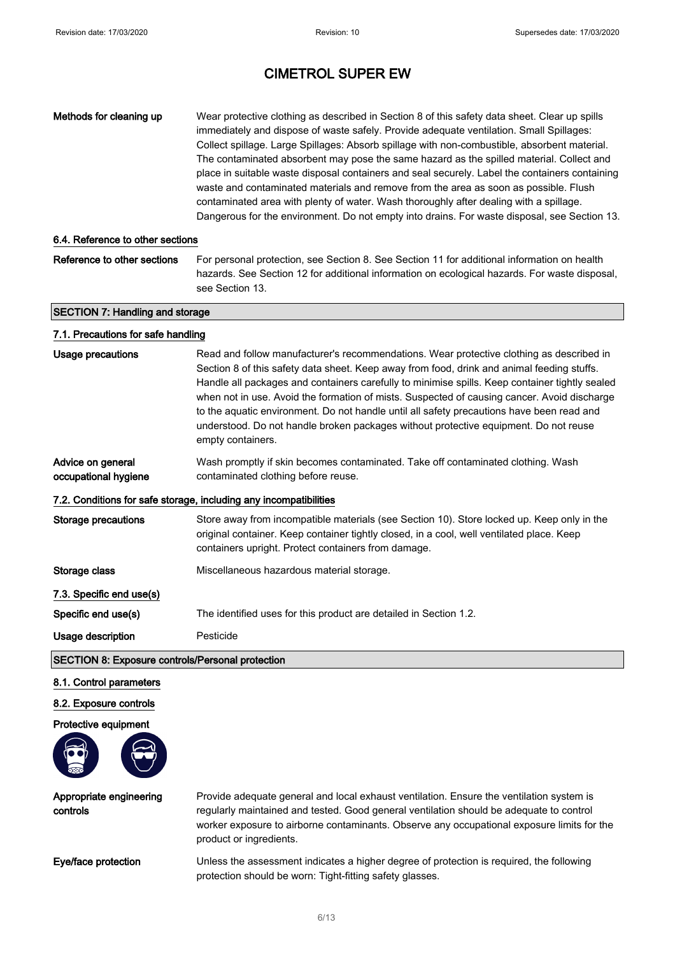| Methods for cleaning up                                           | Wear protective clothing as described in Section 8 of this safety data sheet. Clear up spills<br>immediately and dispose of waste safely. Provide adequate ventilation. Small Spillages:<br>Collect spillage. Large Spillages: Absorb spillage with non-combustible, absorbent material.<br>The contaminated absorbent may pose the same hazard as the spilled material. Collect and<br>place in suitable waste disposal containers and seal securely. Label the containers containing<br>waste and contaminated materials and remove from the area as soon as possible. Flush<br>contaminated area with plenty of water. Wash thoroughly after dealing with a spillage.<br>Dangerous for the environment. Do not empty into drains. For waste disposal, see Section 13. |  |
|-------------------------------------------------------------------|--------------------------------------------------------------------------------------------------------------------------------------------------------------------------------------------------------------------------------------------------------------------------------------------------------------------------------------------------------------------------------------------------------------------------------------------------------------------------------------------------------------------------------------------------------------------------------------------------------------------------------------------------------------------------------------------------------------------------------------------------------------------------|--|
| 6.4. Reference to other sections                                  |                                                                                                                                                                                                                                                                                                                                                                                                                                                                                                                                                                                                                                                                                                                                                                          |  |
| Reference to other sections                                       | For personal protection, see Section 8. See Section 11 for additional information on health<br>hazards. See Section 12 for additional information on ecological hazards. For waste disposal,<br>see Section 13.                                                                                                                                                                                                                                                                                                                                                                                                                                                                                                                                                          |  |
| <b>SECTION 7: Handling and storage</b>                            |                                                                                                                                                                                                                                                                                                                                                                                                                                                                                                                                                                                                                                                                                                                                                                          |  |
| 7.1. Precautions for safe handling                                |                                                                                                                                                                                                                                                                                                                                                                                                                                                                                                                                                                                                                                                                                                                                                                          |  |
| <b>Usage precautions</b>                                          | Read and follow manufacturer's recommendations. Wear protective clothing as described in<br>Section 8 of this safety data sheet. Keep away from food, drink and animal feeding stuffs.<br>Handle all packages and containers carefully to minimise spills. Keep container tightly sealed<br>when not in use. Avoid the formation of mists. Suspected of causing cancer. Avoid discharge<br>to the aquatic environment. Do not handle until all safety precautions have been read and<br>understood. Do not handle broken packages without protective equipment. Do not reuse<br>empty containers.                                                                                                                                                                        |  |
| Advice on general<br>occupational hygiene                         | Wash promptly if skin becomes contaminated. Take off contaminated clothing. Wash<br>contaminated clothing before reuse.                                                                                                                                                                                                                                                                                                                                                                                                                                                                                                                                                                                                                                                  |  |
| 7.2. Conditions for safe storage, including any incompatibilities |                                                                                                                                                                                                                                                                                                                                                                                                                                                                                                                                                                                                                                                                                                                                                                          |  |
| <b>Storage precautions</b>                                        | Store away from incompatible materials (see Section 10). Store locked up. Keep only in the<br>original container. Keep container tightly closed, in a cool, well ventilated place. Keep<br>containers upright. Protect containers from damage.                                                                                                                                                                                                                                                                                                                                                                                                                                                                                                                           |  |
| Storage class                                                     | Miscellaneous hazardous material storage.                                                                                                                                                                                                                                                                                                                                                                                                                                                                                                                                                                                                                                                                                                                                |  |
| 7.3. Specific end use(s)                                          |                                                                                                                                                                                                                                                                                                                                                                                                                                                                                                                                                                                                                                                                                                                                                                          |  |
| Specific end use(s)                                               | The identified uses for this product are detailed in Section 1.2.                                                                                                                                                                                                                                                                                                                                                                                                                                                                                                                                                                                                                                                                                                        |  |
| <b>Usage description</b>                                          | Pesticide                                                                                                                                                                                                                                                                                                                                                                                                                                                                                                                                                                                                                                                                                                                                                                |  |
|                                                                   |                                                                                                                                                                                                                                                                                                                                                                                                                                                                                                                                                                                                                                                                                                                                                                          |  |

## SECTION 8: Exposure controls/Personal protection

#### 8.1. Control parameters

#### 8.2. Exposure controls

Protective equipment



Appropriate engineering

Provide adequate general and local exhaust ventilation. Ensure the ventilation system is regularly maintained and tested. Good general ventilation should be adequate to control worker exposure to airborne contaminants. Observe any occupational exposure limits for the product or ingredients.

controls

Eye/face protection Unless the assessment indicates a higher degree of protection is required, the following protection should be worn: Tight-fitting safety glasses.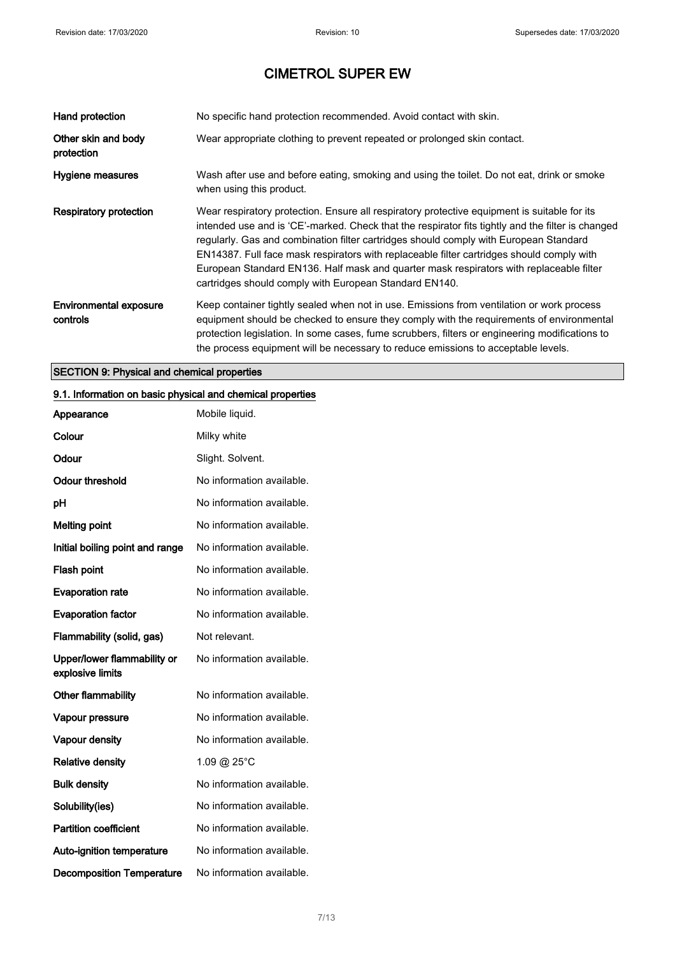| Hand protection                           | No specific hand protection recommended. Avoid contact with skin.                                                                                                                                                                                                                                                                                                                                                                                                                                                                            |
|-------------------------------------------|----------------------------------------------------------------------------------------------------------------------------------------------------------------------------------------------------------------------------------------------------------------------------------------------------------------------------------------------------------------------------------------------------------------------------------------------------------------------------------------------------------------------------------------------|
| Other skin and body<br>protection         | Wear appropriate clothing to prevent repeated or prolonged skin contact.                                                                                                                                                                                                                                                                                                                                                                                                                                                                     |
| Hygiene measures                          | Wash after use and before eating, smoking and using the toilet. Do not eat, drink or smoke<br>when using this product.                                                                                                                                                                                                                                                                                                                                                                                                                       |
| <b>Respiratory protection</b>             | Wear respiratory protection. Ensure all respiratory protective equipment is suitable for its<br>intended use and is 'CE'-marked. Check that the respirator fits tightly and the filter is changed<br>regularly. Gas and combination filter cartridges should comply with European Standard<br>EN14387. Full face mask respirators with replaceable filter cartridges should comply with<br>European Standard EN136. Half mask and quarter mask respirators with replaceable filter<br>cartridges should comply with European Standard EN140. |
| <b>Environmental exposure</b><br>controls | Keep container tightly sealed when not in use. Emissions from ventilation or work process<br>equipment should be checked to ensure they comply with the requirements of environmental<br>protection legislation. In some cases, fume scrubbers, filters or engineering modifications to<br>the process equipment will be necessary to reduce emissions to acceptable levels.                                                                                                                                                                 |

## SECTION 9: Physical and chemical properties

## 9.1. Information on basic physical and chemical properties

| Appearance                                      | Mobile liquid.            |
|-------------------------------------------------|---------------------------|
| Colour                                          | Milky white               |
| Odour                                           | Slight. Solvent.          |
| Odour threshold                                 | No information available. |
| рH                                              | No information available. |
| <b>Melting point</b>                            | No information available. |
| Initial boiling point and range                 | No information available. |
| <b>Flash point</b>                              | No information available. |
| <b>Evaporation rate</b>                         | No information available. |
| <b>Evaporation factor</b>                       | No information available. |
| Flammability (solid, gas)                       | Not relevant.             |
| Upper/lower flammability or<br>explosive limits | No information available. |
| Other flammability                              | No information available. |
| Vapour pressure                                 | No information available. |
| <b>Vapour density</b>                           | No information available. |
| <b>Relative density</b>                         | 1.09 @ 25°C               |
| <b>Bulk density</b>                             | No information available. |
| Solubility(ies)                                 | No information available. |
| <b>Partition coefficient</b>                    | No information available. |
| Auto-ignition temperature                       | No information available. |
| <b>Decomposition Temperature</b>                | No information available. |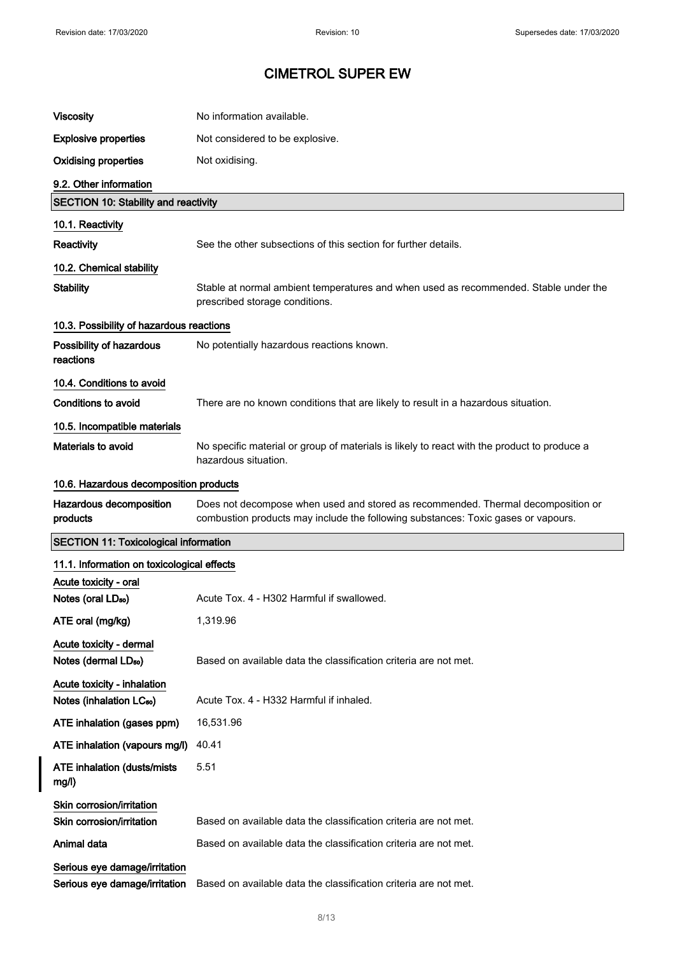| <b>Viscosity</b>                                                    | No information available.                                                                                                                                             |
|---------------------------------------------------------------------|-----------------------------------------------------------------------------------------------------------------------------------------------------------------------|
| <b>Explosive properties</b>                                         | Not considered to be explosive.                                                                                                                                       |
| <b>Oxidising properties</b>                                         | Not oxidising.                                                                                                                                                        |
| 9.2. Other information                                              |                                                                                                                                                                       |
| <b>SECTION 10: Stability and reactivity</b>                         |                                                                                                                                                                       |
| 10.1. Reactivity                                                    |                                                                                                                                                                       |
| Reactivity                                                          | See the other subsections of this section for further details.                                                                                                        |
| 10.2. Chemical stability                                            |                                                                                                                                                                       |
| <b>Stability</b>                                                    | Stable at normal ambient temperatures and when used as recommended. Stable under the<br>prescribed storage conditions.                                                |
| 10.3. Possibility of hazardous reactions                            |                                                                                                                                                                       |
| Possibility of hazardous<br>reactions                               | No potentially hazardous reactions known.                                                                                                                             |
| 10.4. Conditions to avoid                                           |                                                                                                                                                                       |
| Conditions to avoid                                                 | There are no known conditions that are likely to result in a hazardous situation.                                                                                     |
| 10.5. Incompatible materials                                        |                                                                                                                                                                       |
| Materials to avoid                                                  | No specific material or group of materials is likely to react with the product to produce a<br>hazardous situation.                                                   |
| 10.6. Hazardous decomposition products                              |                                                                                                                                                                       |
| Hazardous decomposition<br>products                                 | Does not decompose when used and stored as recommended. Thermal decomposition or<br>combustion products may include the following substances: Toxic gases or vapours. |
| <b>SECTION 11: Toxicological information</b>                        |                                                                                                                                                                       |
|                                                                     |                                                                                                                                                                       |
| 11.1. Information on toxicological effects                          |                                                                                                                                                                       |
| Acute toxicity - oral                                               |                                                                                                                                                                       |
| Notes (oral LD <sub>50</sub> )                                      | Acute Tox. 4 - H302 Harmful if swallowed.                                                                                                                             |
| ATE oral (mg/kg)                                                    | 1,319.96                                                                                                                                                              |
| Acute toxicity - dermal<br>Notes (dermal LD <sub>50</sub> )         | Based on available data the classification criteria are not met.                                                                                                      |
| Acute toxicity - inhalation<br>Notes (inhalation LC <sub>50</sub> ) | Acute Tox. 4 - H332 Harmful if inhaled.                                                                                                                               |
| ATE inhalation (gases ppm)                                          | 16,531.96                                                                                                                                                             |
| ATE inhalation (vapours mg/l)                                       | 40.41                                                                                                                                                                 |
| <b>ATE inhalation (dusts/mists)</b><br>mg/l)                        | 5.51                                                                                                                                                                  |
| Skin corrosion/irritation<br>Skin corrosion/irritation              | Based on available data the classification criteria are not met.                                                                                                      |
| Animal data                                                         | Based on available data the classification criteria are not met.                                                                                                      |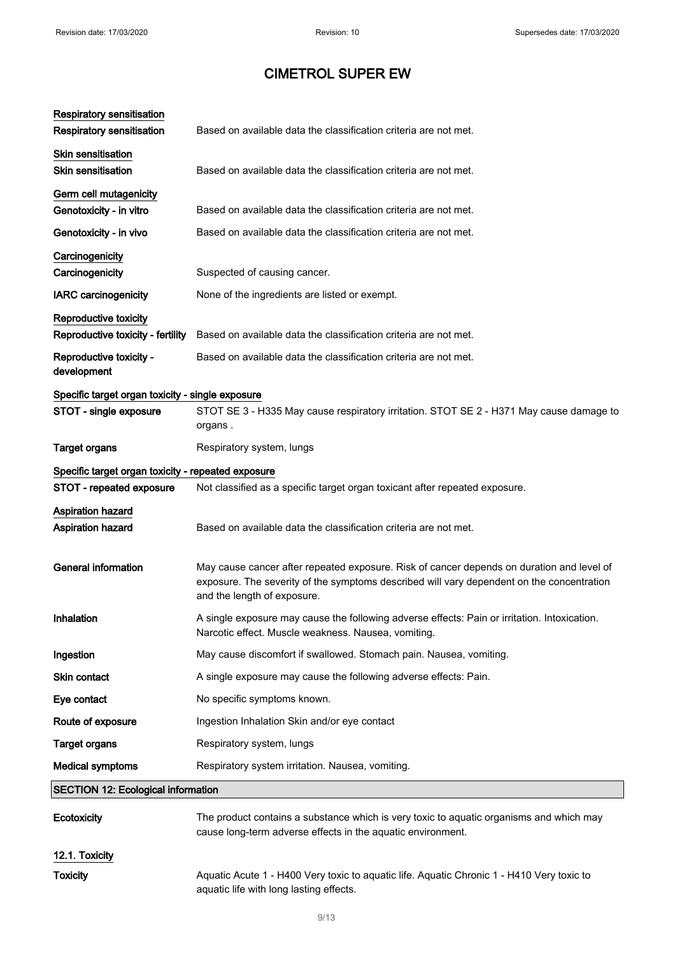| <b>Respiratory sensitisation</b><br><b>Respiratory sensitisation</b> | Based on available data the classification criteria are not met.                                                                                                                                                      |
|----------------------------------------------------------------------|-----------------------------------------------------------------------------------------------------------------------------------------------------------------------------------------------------------------------|
| <b>Skin sensitisation</b><br><b>Skin sensitisation</b>               | Based on available data the classification criteria are not met.                                                                                                                                                      |
| Germ cell mutagenicity                                               |                                                                                                                                                                                                                       |
| Genotoxicity - in vitro                                              | Based on available data the classification criteria are not met.                                                                                                                                                      |
| Genotoxicity - in vivo                                               | Based on available data the classification criteria are not met.                                                                                                                                                      |
| Carcinogenicity                                                      |                                                                                                                                                                                                                       |
| Carcinogenicity                                                      | Suspected of causing cancer.                                                                                                                                                                                          |
| <b>IARC</b> carcinogenicity                                          | None of the ingredients are listed or exempt.                                                                                                                                                                         |
| Reproductive toxicity                                                |                                                                                                                                                                                                                       |
| Reproductive toxicity - fertility                                    | Based on available data the classification criteria are not met.                                                                                                                                                      |
| Reproductive toxicity -<br>development                               | Based on available data the classification criteria are not met.                                                                                                                                                      |
| Specific target organ toxicity - single exposure                     |                                                                                                                                                                                                                       |
| STOT - single exposure                                               | STOT SE 3 - H335 May cause respiratory irritation. STOT SE 2 - H371 May cause damage to<br>organs.                                                                                                                    |
| <b>Target organs</b>                                                 | Respiratory system, lungs                                                                                                                                                                                             |
| Specific target organ toxicity - repeated exposure                   |                                                                                                                                                                                                                       |
| STOT - repeated exposure                                             | Not classified as a specific target organ toxicant after repeated exposure.                                                                                                                                           |
| Aspiration hazard                                                    |                                                                                                                                                                                                                       |
| Aspiration hazard                                                    | Based on available data the classification criteria are not met.                                                                                                                                                      |
| <b>General information</b>                                           | May cause cancer after repeated exposure. Risk of cancer depends on duration and level of<br>exposure. The severity of the symptoms described will vary dependent on the concentration<br>and the length of exposure. |
| Inhalation                                                           | A single exposure may cause the following adverse effects: Pain or irritation. Intoxication.<br>Narcotic effect. Muscle weakness. Nausea, vomiting.                                                                   |
| Ingestion                                                            | May cause discomfort if swallowed. Stomach pain. Nausea, vomiting.                                                                                                                                                    |
| Skin contact                                                         | A single exposure may cause the following adverse effects: Pain.                                                                                                                                                      |
| Eye contact                                                          | No specific symptoms known.                                                                                                                                                                                           |
| Route of exposure                                                    | Ingestion Inhalation Skin and/or eye contact                                                                                                                                                                          |
| <b>Target organs</b>                                                 | Respiratory system, lungs                                                                                                                                                                                             |
| <b>Medical symptoms</b>                                              | Respiratory system irritation. Nausea, vomiting.                                                                                                                                                                      |
| <b>SECTION 12: Ecological information</b>                            |                                                                                                                                                                                                                       |
|                                                                      |                                                                                                                                                                                                                       |
| <b>Ecotoxicity</b>                                                   | The product contains a substance which is very toxic to aquatic organisms and which may<br>cause long-term adverse effects in the aquatic environment.                                                                |

Toxicity **Aquatic Acute 1 - H400 Very toxic to aquatic life. Aquatic Chronic 1 - H410 Very toxic to** aquatic life with long lasting effects.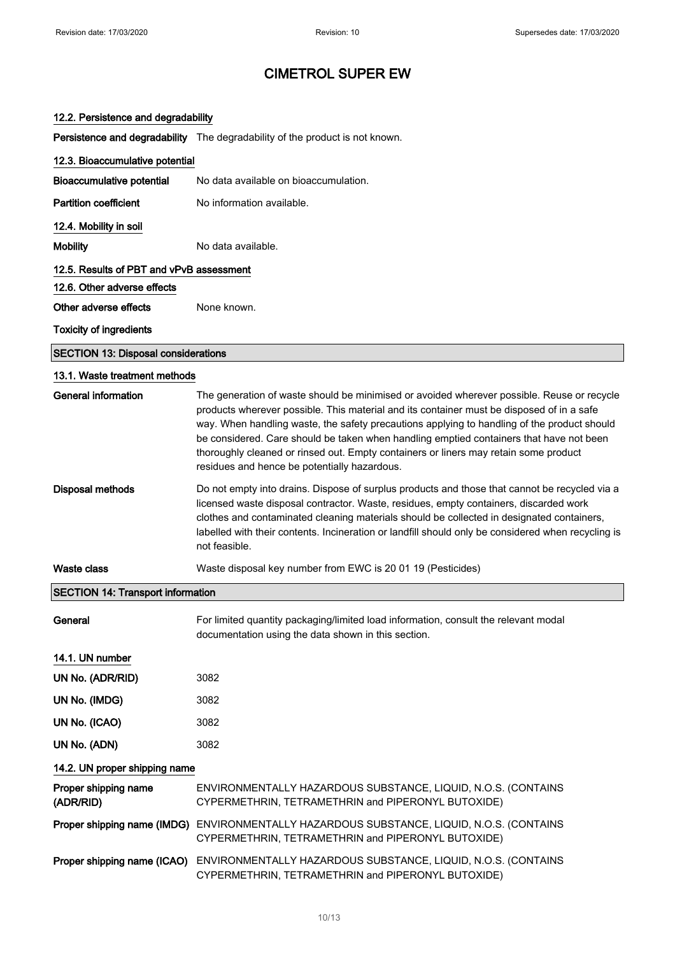### 12.2. Persistence and degradability

Persistence and degradability The degradability of the product is not known.

| 12.3. Bioaccumulative potential            |                                                                                                                                                                                                                                                                                                                                                                                                                                                                                                                           |
|--------------------------------------------|---------------------------------------------------------------------------------------------------------------------------------------------------------------------------------------------------------------------------------------------------------------------------------------------------------------------------------------------------------------------------------------------------------------------------------------------------------------------------------------------------------------------------|
| <b>Bioaccumulative potential</b>           | No data available on bioaccumulation.                                                                                                                                                                                                                                                                                                                                                                                                                                                                                     |
| <b>Partition coefficient</b>               | No information available.                                                                                                                                                                                                                                                                                                                                                                                                                                                                                                 |
| 12.4. Mobility in soil                     |                                                                                                                                                                                                                                                                                                                                                                                                                                                                                                                           |
| <b>Mobility</b>                            | No data available.                                                                                                                                                                                                                                                                                                                                                                                                                                                                                                        |
| 12.5. Results of PBT and vPvB assessment   |                                                                                                                                                                                                                                                                                                                                                                                                                                                                                                                           |
| 12.6. Other adverse effects                |                                                                                                                                                                                                                                                                                                                                                                                                                                                                                                                           |
| Other adverse effects                      | None known.                                                                                                                                                                                                                                                                                                                                                                                                                                                                                                               |
| <b>Toxicity of ingredients</b>             |                                                                                                                                                                                                                                                                                                                                                                                                                                                                                                                           |
| <b>SECTION 13: Disposal considerations</b> |                                                                                                                                                                                                                                                                                                                                                                                                                                                                                                                           |
| 13.1. Waste treatment methods              |                                                                                                                                                                                                                                                                                                                                                                                                                                                                                                                           |
| <b>General information</b>                 | The generation of waste should be minimised or avoided wherever possible. Reuse or recycle<br>products wherever possible. This material and its container must be disposed of in a safe<br>way. When handling waste, the safety precautions applying to handling of the product should<br>be considered. Care should be taken when handling emptied containers that have not been<br>thoroughly cleaned or rinsed out. Empty containers or liners may retain some product<br>residues and hence be potentially hazardous. |
| <b>Disposal methods</b>                    | Do not empty into drains. Dispose of surplus products and those that cannot be recycled via a<br>licensed waste disposal contractor. Waste, residues, empty containers, discarded work<br>clothes and contaminated cleaning materials should be collected in designated containers,<br>labelled with their contents. Incineration or landfill should only be considered when recycling is<br>not feasible.                                                                                                                |
| <b>Waste class</b>                         | Waste disposal key number from EWC is 20 01 19 (Pesticides)                                                                                                                                                                                                                                                                                                                                                                                                                                                               |
| <b>SECTION 14: Transport information</b>   |                                                                                                                                                                                                                                                                                                                                                                                                                                                                                                                           |
| General                                    | For limited quantity packaging/limited load information, consult the relevant modal<br>documentation using the data shown in this section.                                                                                                                                                                                                                                                                                                                                                                                |
| 14.1. UN number                            |                                                                                                                                                                                                                                                                                                                                                                                                                                                                                                                           |
| UN No. (ADR/RID)                           | 3082                                                                                                                                                                                                                                                                                                                                                                                                                                                                                                                      |
| UN No. (IMDG)                              | 3082                                                                                                                                                                                                                                                                                                                                                                                                                                                                                                                      |
| UN No. (ICAO)                              | 3082                                                                                                                                                                                                                                                                                                                                                                                                                                                                                                                      |
| UN No. (ADN)                               | 3082                                                                                                                                                                                                                                                                                                                                                                                                                                                                                                                      |
| 14.2. UN proper shipping name              |                                                                                                                                                                                                                                                                                                                                                                                                                                                                                                                           |
| Proper shipping name<br>(ADR/RID)          | ENVIRONMENTALLY HAZARDOUS SUBSTANCE, LIQUID, N.O.S. (CONTAINS<br>CYPERMETHRIN, TETRAMETHRIN and PIPERONYL BUTOXIDE)                                                                                                                                                                                                                                                                                                                                                                                                       |
| Proper shipping name (IMDG)                | ENVIRONMENTALLY HAZARDOUS SUBSTANCE, LIQUID, N.O.S. (CONTAINS<br>CYPERMETHRIN, TETRAMETHRIN and PIPERONYL BUTOXIDE)                                                                                                                                                                                                                                                                                                                                                                                                       |
|                                            | Proper shipping name (ICAO) ENVIRONMENTALLY HAZARDOUS SUBSTANCE, LIQUID, N.O.S. (CONTAINS                                                                                                                                                                                                                                                                                                                                                                                                                                 |

CYPERMETHRIN, TETRAMETHRIN and PIPERONYL BUTOXIDE)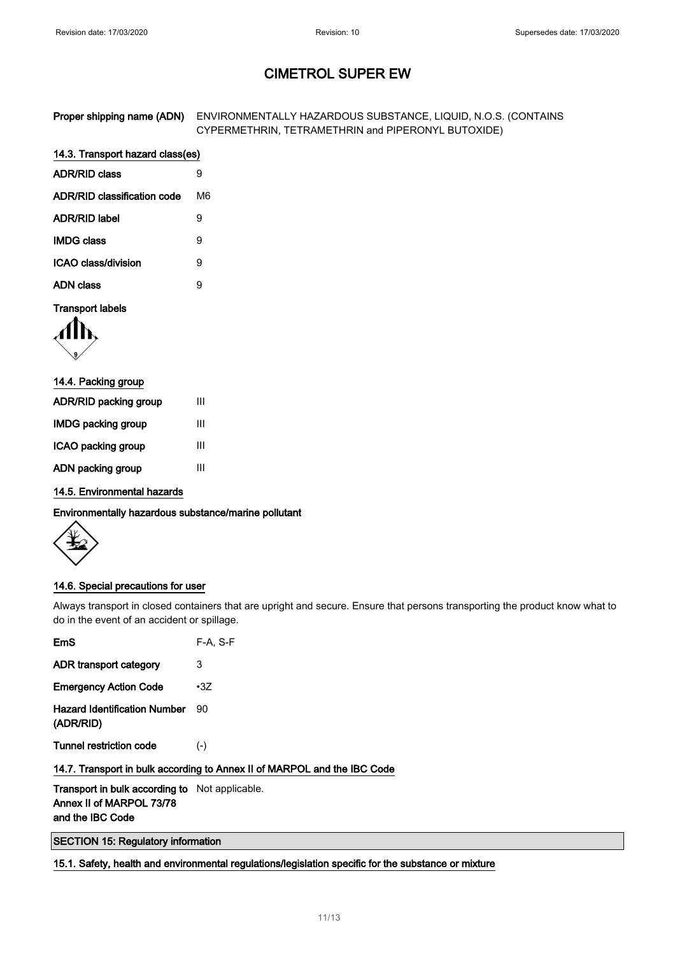| Proper shipping name (ADN) ENVIRONMENTALLY HAZARDOUS SUBSTANCE, LIQUID, N.O.S. (CONTAINS |
|------------------------------------------------------------------------------------------|
| CYPERMETHRIN, TETRAMETHRIN and PIPERONYL BUTOXIDE)                                       |

## 14.3. Transport hazard class(es)

| <b>ADR/RID class</b>        |     |
|-----------------------------|-----|
| ADR/RID classification code | M6. |
| <b>ADR/RID label</b>        | я   |
| <b>IMDG class</b>           | 9   |
| ICAO class/division         | 9   |
| <b>ADN class</b>            | я   |

### Transport labels

| 14.4. Packing group       |   |
|---------------------------|---|
| ADR/RID packing group     | Ш |
| <b>IMDG packing group</b> | Ш |
| ICAO packing group        | Ш |
| ADN packing group         | Ш |

14.5. Environmental hazards

Environmentally hazardous substance/marine pollutant

### 14.6. Special precautions for user

Always transport in closed containers that are upright and secure. Ensure that persons transporting the product know what to do in the event of an accident or spillage.

| EmS                                              | $F-A. S-F$                                                               |
|--------------------------------------------------|--------------------------------------------------------------------------|
| ADR transport category                           | 3                                                                        |
| <b>Emergency Action Code</b>                     | $\cdot 3Z$                                                               |
| <b>Hazard Identification Number</b><br>(ADR/RID) | 90                                                                       |
| <b>Tunnel restriction code</b>                   | $(-)$                                                                    |
|                                                  | 14.7. Transport in bulk according to Annex II of MARPOL and the IBC Code |

Transport in bulk according to Not applicable. Annex II of MARPOL 73/78 and the IBC Code

SECTION 15: Regulatory information

15.1. Safety, health and environmental regulations/legislation specific for the substance or mixture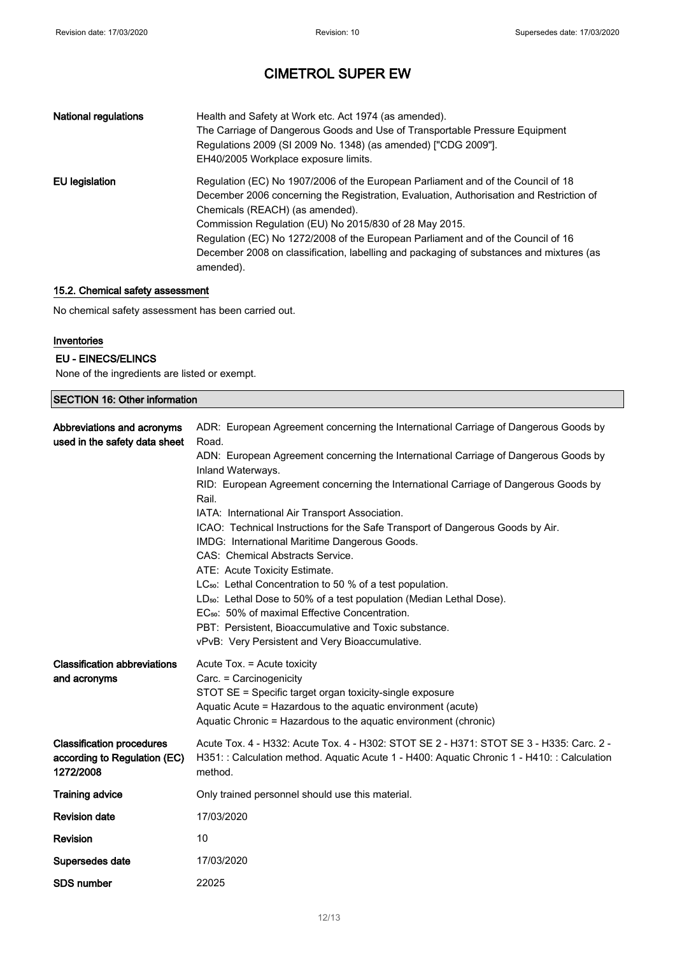| <b>National regulations</b> | Health and Safety at Work etc. Act 1974 (as amended).<br>The Carriage of Dangerous Goods and Use of Transportable Pressure Equipment<br>Regulations 2009 (SI 2009 No. 1348) (as amended) ["CDG 2009"].<br>EH40/2005 Workplace exposure limits.                                                                                                                                                                                                                       |
|-----------------------------|----------------------------------------------------------------------------------------------------------------------------------------------------------------------------------------------------------------------------------------------------------------------------------------------------------------------------------------------------------------------------------------------------------------------------------------------------------------------|
| EU legislation              | Regulation (EC) No 1907/2006 of the European Parliament and of the Council of 18<br>December 2006 concerning the Registration, Evaluation, Authorisation and Restriction of<br>Chemicals (REACH) (as amended).<br>Commission Regulation (EU) No 2015/830 of 28 May 2015.<br>Regulation (EC) No 1272/2008 of the European Parliament and of the Council of 16<br>December 2008 on classification, labelling and packaging of substances and mixtures (as<br>amended). |

### 15.2. Chemical safety assessment

No chemical safety assessment has been carried out.

### Inventories

### EU - EINECS/ELINCS

None of the ingredients are listed or exempt.

| <b>SECTION 16: Other information</b>                                          |                                                                                                                                                                                                                                                                                                                                                                                                                                                                                                                                                                                                                                                                                                                                                                                                                                                                                                           |  |
|-------------------------------------------------------------------------------|-----------------------------------------------------------------------------------------------------------------------------------------------------------------------------------------------------------------------------------------------------------------------------------------------------------------------------------------------------------------------------------------------------------------------------------------------------------------------------------------------------------------------------------------------------------------------------------------------------------------------------------------------------------------------------------------------------------------------------------------------------------------------------------------------------------------------------------------------------------------------------------------------------------|--|
| Abbreviations and acronyms<br>used in the safety data sheet                   | ADR: European Agreement concerning the International Carriage of Dangerous Goods by<br>Road.<br>ADN: European Agreement concerning the International Carriage of Dangerous Goods by<br>Inland Waterways.<br>RID: European Agreement concerning the International Carriage of Dangerous Goods by<br>Rail.<br>IATA: International Air Transport Association.<br>ICAO: Technical Instructions for the Safe Transport of Dangerous Goods by Air.<br>IMDG: International Maritime Dangerous Goods.<br>CAS: Chemical Abstracts Service.<br>ATE: Acute Toxicity Estimate.<br>LC <sub>50</sub> : Lethal Concentration to 50 % of a test population.<br>LD <sub>50</sub> : Lethal Dose to 50% of a test population (Median Lethal Dose).<br>EC <sub>50</sub> : 50% of maximal Effective Concentration.<br>PBT: Persistent, Bioaccumulative and Toxic substance.<br>vPvB: Very Persistent and Very Bioaccumulative. |  |
| <b>Classification abbreviations</b><br>and acronyms                           | Acute Tox. = Acute toxicity<br>Carc. = Carcinogenicity<br>STOT SE = Specific target organ toxicity-single exposure<br>Aquatic Acute = Hazardous to the aquatic environment (acute)<br>Aquatic Chronic = Hazardous to the aquatic environment (chronic)                                                                                                                                                                                                                                                                                                                                                                                                                                                                                                                                                                                                                                                    |  |
| <b>Classification procedures</b><br>according to Regulation (EC)<br>1272/2008 | Acute Tox. 4 - H332: Acute Tox. 4 - H302: STOT SE 2 - H371: STOT SE 3 - H335: Carc. 2 -<br>H351: : Calculation method. Aquatic Acute 1 - H400: Aquatic Chronic 1 - H410: : Calculation<br>method.                                                                                                                                                                                                                                                                                                                                                                                                                                                                                                                                                                                                                                                                                                         |  |
| <b>Training advice</b>                                                        | Only trained personnel should use this material.                                                                                                                                                                                                                                                                                                                                                                                                                                                                                                                                                                                                                                                                                                                                                                                                                                                          |  |
| <b>Revision date</b>                                                          | 17/03/2020                                                                                                                                                                                                                                                                                                                                                                                                                                                                                                                                                                                                                                                                                                                                                                                                                                                                                                |  |
| Revision                                                                      | 10                                                                                                                                                                                                                                                                                                                                                                                                                                                                                                                                                                                                                                                                                                                                                                                                                                                                                                        |  |
| Supersedes date                                                               | 17/03/2020                                                                                                                                                                                                                                                                                                                                                                                                                                                                                                                                                                                                                                                                                                                                                                                                                                                                                                |  |
| <b>SDS number</b>                                                             | 22025                                                                                                                                                                                                                                                                                                                                                                                                                                                                                                                                                                                                                                                                                                                                                                                                                                                                                                     |  |